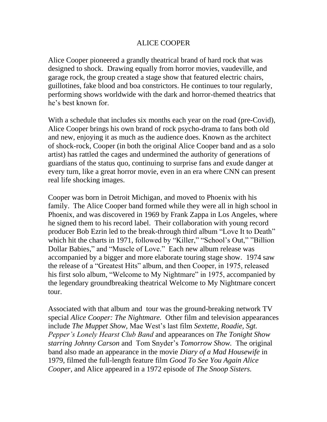## ALICE COOPER

Alice Cooper pioneered a grandly theatrical brand of hard rock that was designed to shock. Drawing equally from horror movies, vaudeville, and garage rock, the group created a stage show that featured electric chairs, guillotines, fake blood and boa constrictors. He continues to tour regularly, performing shows worldwide with the dark and horror-themed theatrics that he's best known for.

With a schedule that includes six months each year on the road (pre-Covid), Alice Cooper brings his own brand of rock psycho-drama to fans both old and new, enjoying it as much as the audience does. Known as the architect of shock-rock, Cooper (in both the original Alice Cooper band and as a solo artist) has rattled the cages and undermined the authority of generations of guardians of the status quo, continuing to surprise fans and exude danger at every turn, like a great horror movie, even in an era where CNN can present real life shocking images.

Cooper was born in Detroit Michigan, and moved to Phoenix with his family. The Alice Cooper band formed while they were all in high school in Phoenix, and was discovered in 1969 by Frank Zappa in Los Angeles, where he signed them to his record label. Their collaboration with young record producer Bob Ezrin led to the break-through third album "Love It to Death" which hit the charts in 1971, followed by "Killer," "School's Out," "Billion Dollar Babies," and "Muscle of Love." Each new album release was accompanied by a bigger and more elaborate touring stage show. 1974 saw the release of a "Greatest Hits" album, and then Cooper, in 1975, released his first solo album, "Welcome to My Nightmare" in 1975, accompanied by the legendary groundbreaking theatrical Welcome to My Nightmare concert tour.

Associated with that album and tour was the ground-breaking network TV special *Alice Cooper: The Nightmare.* Other film and television appearances include *The Muppet Show,* Mae West's last film *Sextette, Roadie, Sgt. Pepper's Lonely Hearst Club Band* and appearances on *The Tonight Show starring Johnny Carson* and Tom Snyder's *Tomorrow Show.* The original band also made an appearance in the movie *Diary of a Mad Housewife* in 1979, filmed the full-length feature film *Good To See You Again Alice Cooper*, and Alice appeared in a 1972 episode of *The Snoop Sisters.*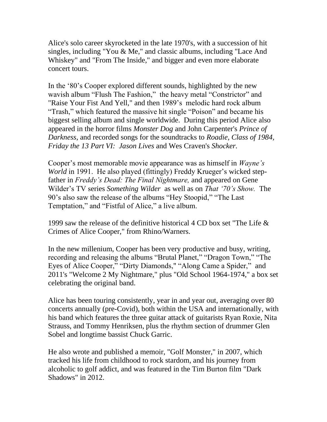Alice's solo career skyrocketed in the late 1970's, with a succession of hit singles, including "You & Me," and classic albums, including "Lace And Whiskey" and "From The Inside," and bigger and even more elaborate concert tours.

In the '80's Cooper explored different sounds, highlighted by the new wavish album "Flush The Fashion," the heavy metal "Constrictor" and "Raise Your Fist And Yell," and then 1989's melodic hard rock album "Trash," which featured the massive hit single "Poison" and became his biggest selling album and single worldwide. During this period Alice also appeared in the horror films *Monster Dog* and John Carpenter's *Prince of Darkness*, and recorded songs for the soundtracks to *Roadie, Class of 1984, Friday the 13 Part VI: Jason Lives* and Wes Craven's *Shocker.*

Cooper's most memorable movie appearance was as himself in *Wayne's World* in 1991. He also played (fittingly) Freddy Krueger's wicked stepfather in *Freddy's Dead: The Final Nightmare,* and appeared on Gene Wilder's TV series *Something Wilder* as well as on *That '70's Show.* The 90's also saw the release of the albums "Hey Stoopid," "The Last Temptation," and "Fistful of Alice," a live album.

1999 saw the release of the definitive historical 4 CD box set "The Life & Crimes of Alice Cooper," from Rhino/Warners.

In the new millenium, Cooper has been very productive and busy, writing, recording and releasing the albums "Brutal Planet," "Dragon Town," "The Eyes of Alice Cooper," "Dirty Diamonds," "Along Came a Spider," and 2011's "Welcome 2 My Nightmare," plus "Old School 1964-1974," a box set celebrating the original band.

Alice has been touring consistently, year in and year out, averaging over 80 concerts annually (pre-Covid), both within the USA and internationally, with his band which features the three guitar attack of guitarists Ryan Roxie, Nita Strauss, and Tommy Henriksen, plus the rhythm section of drummer Glen Sobel and longtime bassist Chuck Garric.

He also wrote and published a memoir, "Golf Monster," in 2007, which tracked his life from childhood to rock stardom, and his journey from alcoholic to golf addict, and was featured in the Tim Burton film "Dark Shadows" in 2012.